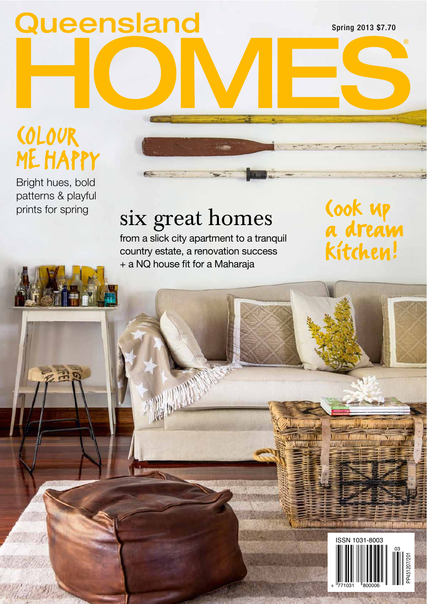Queensland

Spring 2013 \$7.70

®

## COLOUR ME HAPPY

Bright hues, bold patterns & playful

## prints for spring  $six \nvert x$  a slick city apartment to a tranquil  $\overline{a}$  dream six great homes

from a slick city apartment to a tranquil country estate, a renovation success + a NQ house fit for a Maharaja

kitchen!

**SLAVISK LINE OF BUILDING** 



Start and the component and the start and